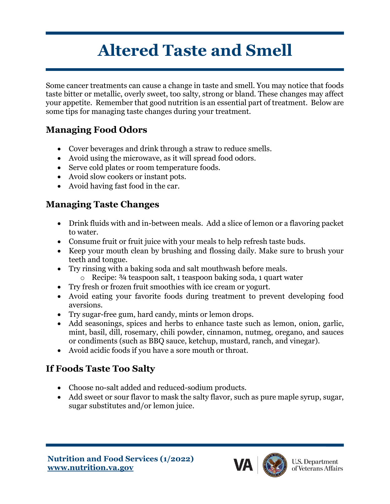# **Altered Taste and Smell**

Some cancer treatments can cause a change in taste and smell. You may notice that foods taste bitter or metallic, overly sweet, too salty, strong or bland. These changes may affect your appetite. Remember that good nutrition is an essential part of treatment. Below are some tips for managing taste changes during your treatment.

#### **Managing Food Odors**

- Cover beverages and drink through a straw to reduce smells.
- Avoid using the microwave, as it will spread food odors.
- Serve cold plates or room temperature foods.
- Avoid slow cookers or instant pots.
- Avoid having fast food in the car.

### **Managing Taste Changes**

- Drink fluids with and in-between meals. Add a slice of lemon or a flavoring packet to water.
- Consume fruit or fruit juice with your meals to help refresh taste buds.
- Keep your mouth clean by brushing and flossing daily. Make sure to brush your teeth and tongue.
- Try rinsing with a baking soda and salt mouthwash before meals.
	- o Recipe: ¾ teaspoon salt, 1 teaspoon baking soda, 1 quart water
- Try fresh or frozen fruit smoothies with ice cream or yogurt.
- Avoid eating your favorite foods during treatment to prevent developing food aversions.
- Try sugar-free gum, hard candy, mints or lemon drops.
- Add seasonings, spices and herbs to enhance taste such as lemon, onion, garlic, mint, basil, dill, rosemary, chili powder, cinnamon, nutmeg, oregano, and sauces or condiments (such as BBQ sauce, ketchup, mustard, ranch, and vinegar).
- Avoid acidic foods if you have a sore mouth or throat.

## **If Foods Taste Too Salty**

- Choose no-salt added and reduced-sodium products.
- Add sweet or sour flavor to mask the salty flavor, such as pure maple syrup, sugar, sugar substitutes and/or lemon juice.